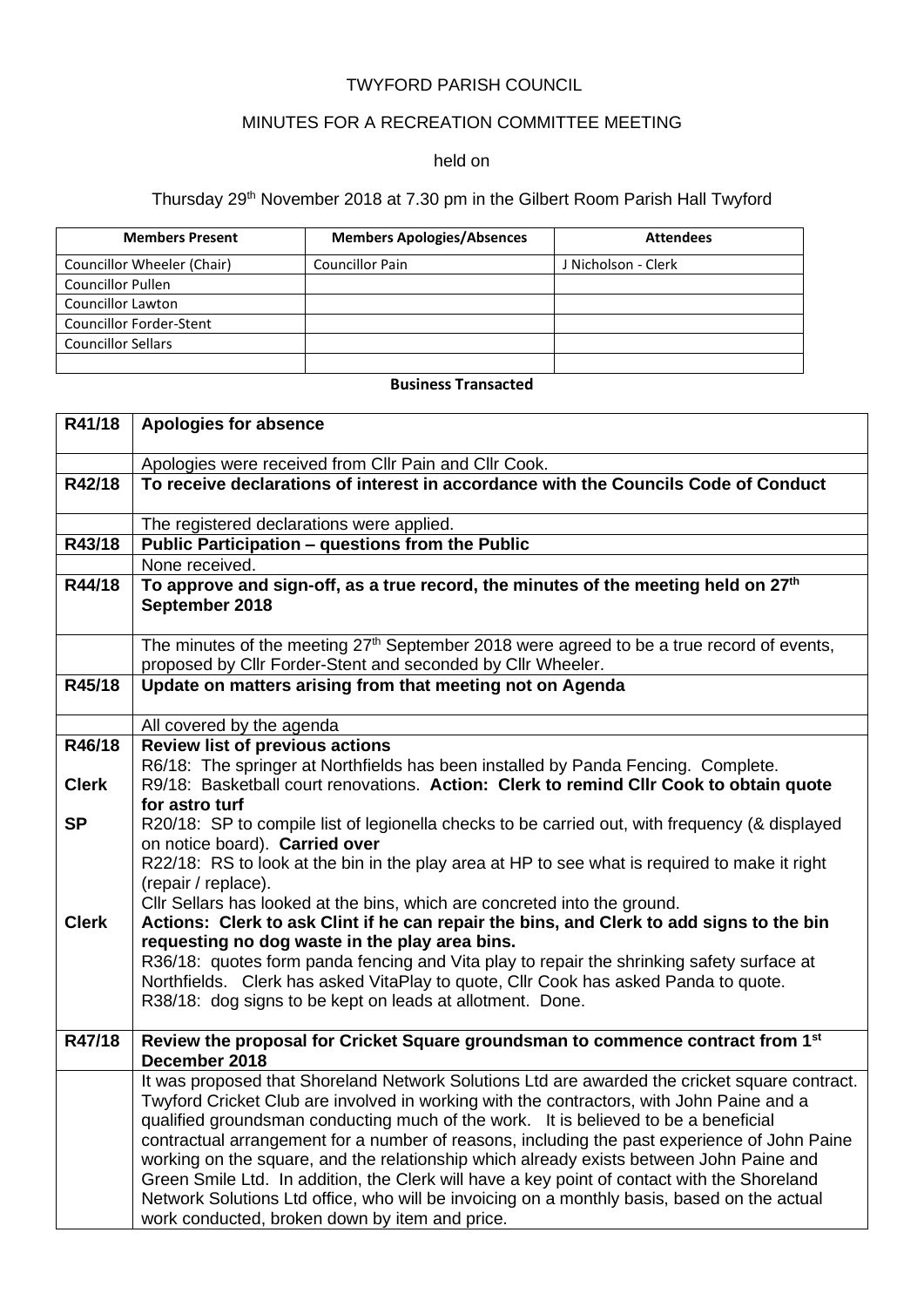### TWYFORD PARISH COUNCIL

# MINUTES FOR A RECREATION COMMITTEE MEETING

#### held on

# Thursday 29<sup>th</sup> November 2018 at 7.30 pm in the Gilbert Room Parish Hall Twyford

| <b>Members Present</b>         | <b>Members Apologies/Absences</b> | <b>Attendees</b>    |
|--------------------------------|-----------------------------------|---------------------|
| Councillor Wheeler (Chair)     | <b>Councillor Pain</b>            | J Nicholson - Clerk |
| <b>Councillor Pullen</b>       |                                   |                     |
| <b>Councillor Lawton</b>       |                                   |                     |
| <b>Councillor Forder-Stent</b> |                                   |                     |
| <b>Councillor Sellars</b>      |                                   |                     |
|                                |                                   |                     |

## **Business Transacted**

| R41/18       | <b>Apologies for absence</b>                                                                                                                                                              |
|--------------|-------------------------------------------------------------------------------------------------------------------------------------------------------------------------------------------|
|              | Apologies were received from Cllr Pain and Cllr Cook.                                                                                                                                     |
| R42/18       | To receive declarations of interest in accordance with the Councils Code of Conduct                                                                                                       |
|              | The registered declarations were applied.                                                                                                                                                 |
| R43/18       | Public Participation - questions from the Public                                                                                                                                          |
|              | None received.                                                                                                                                                                            |
| R44/18       | To approve and sign-off, as a true record, the minutes of the meeting held on 27 <sup>th</sup><br>September 2018                                                                          |
|              | The minutes of the meeting $27th$ September 2018 were agreed to be a true record of events,                                                                                               |
| R45/18       | proposed by Cllr Forder-Stent and seconded by Cllr Wheeler.<br>Update on matters arising from that meeting not on Agenda                                                                  |
|              |                                                                                                                                                                                           |
|              | All covered by the agenda                                                                                                                                                                 |
| R46/18       | <b>Review list of previous actions</b>                                                                                                                                                    |
|              | R6/18: The springer at Northfields has been installed by Panda Fencing. Complete.                                                                                                         |
| <b>Clerk</b> | R9/18: Basketball court renovations. Action: Clerk to remind Cllr Cook to obtain quote                                                                                                    |
|              | for astro turf                                                                                                                                                                            |
| <b>SP</b>    | R20/18: SP to compile list of legionella checks to be carried out, with frequency (& displayed<br>on notice board). Carried over                                                          |
|              | R22/18: RS to look at the bin in the play area at HP to see what is required to make it right                                                                                             |
|              | (repair / replace).                                                                                                                                                                       |
|              | Cllr Sellars has looked at the bins, which are concreted into the ground.                                                                                                                 |
| <b>Clerk</b> | Actions: Clerk to ask Clint if he can repair the bins, and Clerk to add signs to the bin                                                                                                  |
|              | requesting no dog waste in the play area bins.                                                                                                                                            |
|              | R36/18: quotes form panda fencing and Vita play to repair the shrinking safety surface at                                                                                                 |
|              | Northfields. Clerk has asked VitaPlay to quote, Cllr Cook has asked Panda to quote.                                                                                                       |
|              | R38/18: dog signs to be kept on leads at allotment. Done.                                                                                                                                 |
|              |                                                                                                                                                                                           |
| R47/18       | Review the proposal for Cricket Square groundsman to commence contract from 1st                                                                                                           |
|              | December 2018                                                                                                                                                                             |
|              | It was proposed that Shoreland Network Solutions Ltd are awarded the cricket square contract.<br>Twyford Cricket Club are involved in working with the contractors, with John Paine and a |
|              | qualified groundsman conducting much of the work. It is believed to be a beneficial                                                                                                       |
|              | contractual arrangement for a number of reasons, including the past experience of John Paine                                                                                              |
|              | working on the square, and the relationship which already exists between John Paine and                                                                                                   |
|              | Green Smile Ltd. In addition, the Clerk will have a key point of contact with the Shoreland                                                                                               |
|              | Network Solutions Ltd office, who will be invoicing on a monthly basis, based on the actual                                                                                               |
|              | work conducted, broken down by item and price.                                                                                                                                            |